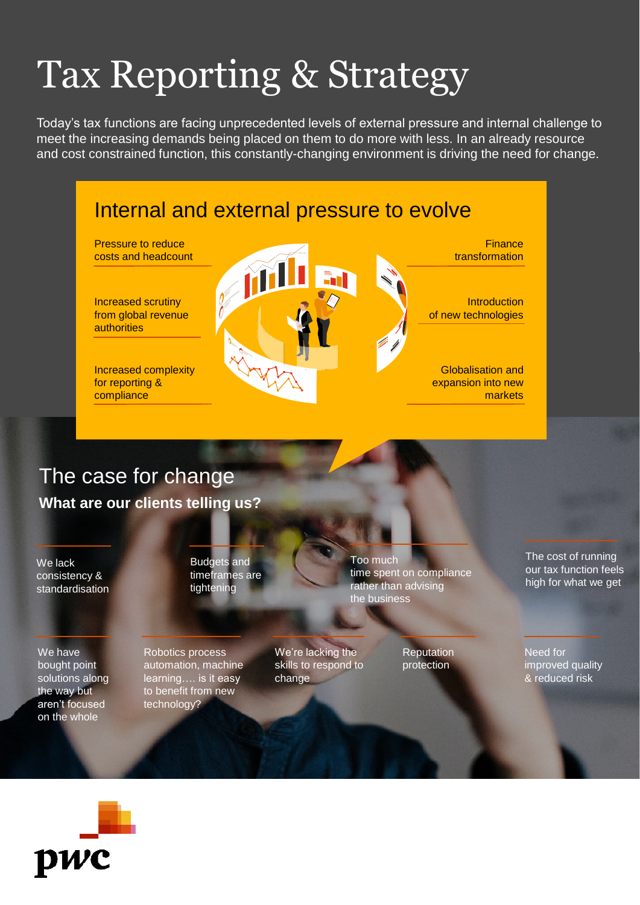## Tax Reporting & Strategy

Today's tax functions are facing unprecedented levels of external pressure and internal challenge to meet the increasing demands being placed on them to do more with less. In an already resource and cost constrained function, this constantly-changing environment is driving the need for change.



## The case for change

**What are our clients telling us?**

We lack consistency & standardisation Budgets and timeframes are tightening

We have bought point solutions along the way but aren't focused on the whole

Robotics process automation, machine learning…. is it easy to benefit from new technology?

We're lacking the skills to respond to change

Too much time spent on compliance rather than advising the business

> **Reputation** protection

The cost of running our tax function feels high for what we get

Need for improved quality & reduced risk